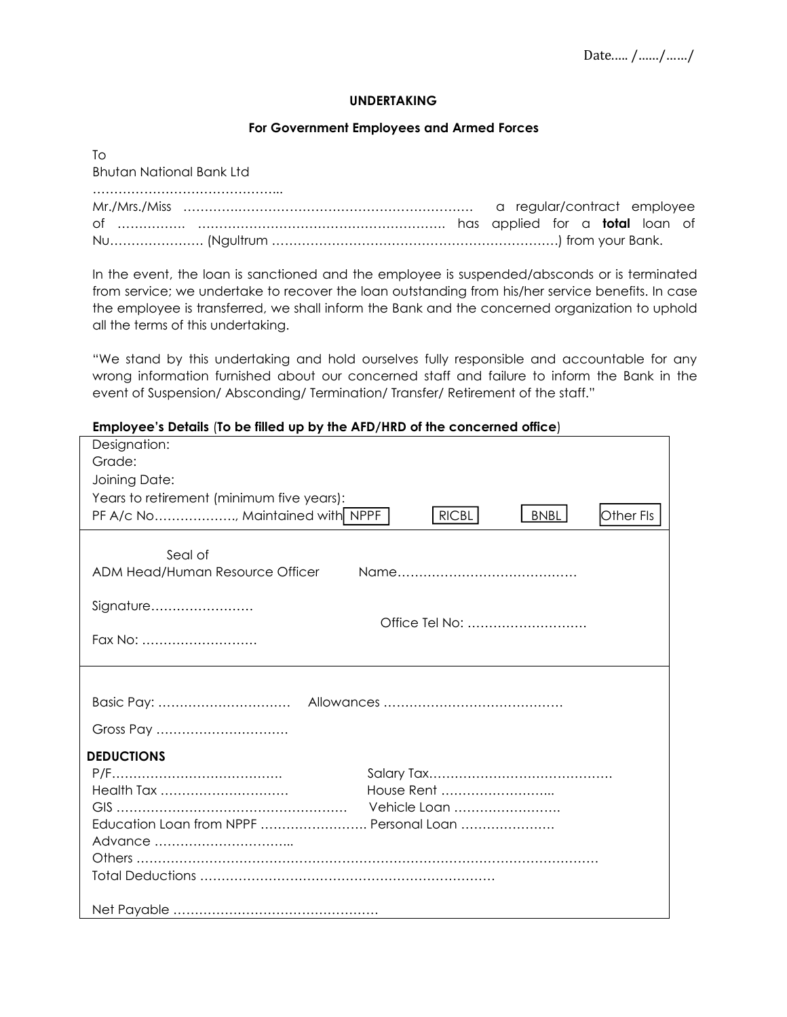## **UNDERTAKING**

## **For Government Employees and Armed Forces**

| T∩                              |  |
|---------------------------------|--|
| <b>Bhutan National Bank Ltd</b> |  |
|                                 |  |
|                                 |  |
|                                 |  |
|                                 |  |

In the event, the loan is sanctioned and the employee is suspended/absconds or is terminated from service; we undertake to recover the loan outstanding from his/her service benefits. In case the employee is transferred, we shall inform the Bank and the concerned organization to uphold all the terms of this undertaking.

"We stand by this undertaking and hold ourselves fully responsible and accountable for any wrong information furnished about our concerned staff and failure to inform the Bank in the event of Suspension/ Absconding/ Termination/ Transfer/ Retirement of the staff."

## **Employee's Details** (**To be filled up bythe AFD/HRD of the concerned office**)

| Designation:                              |                                          |
|-------------------------------------------|------------------------------------------|
| Grade:                                    |                                          |
| Joining Date:                             |                                          |
| Years to retirement (minimum five years): |                                          |
| PF A/c No, Maintained with NPPF           | <b>RICBL</b><br><b>BNBL</b><br>Other Fls |
|                                           |                                          |
| Seal of                                   |                                          |
| ADM Head/Human Resource Officer           |                                          |
|                                           |                                          |
| Signature                                 |                                          |
|                                           | Office Tel No:                           |
| Fax No:                                   |                                          |
|                                           |                                          |
|                                           |                                          |
|                                           |                                          |
| Gross Pay                                 |                                          |
| <b>DEDUCTIONS</b>                         |                                          |
|                                           |                                          |
| Health Tax                                | House Rent                               |
|                                           | Vehicle Loan                             |
| Education Loan from NPPF  Personal Loan   |                                          |
|                                           |                                          |
|                                           |                                          |
|                                           |                                          |
|                                           |                                          |
|                                           |                                          |